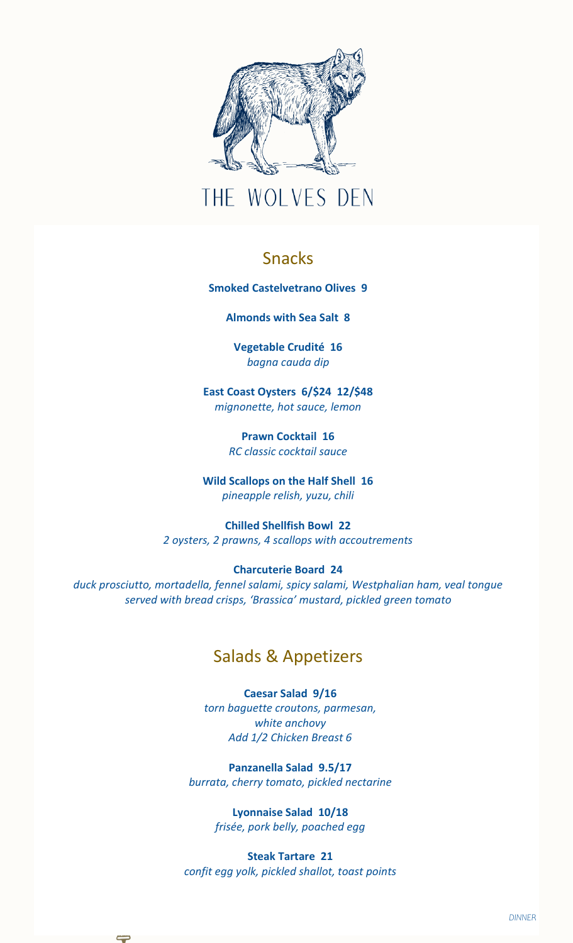

# THE WOLVES DEN

## Snacks

**Smoked Castelvetrano Olives 9**

**Almonds with Sea Salt 8**

**Vegetable Crudité 16** *bagna cauda dip* 

**East Coast Oysters 6/\$24 12/\$48** *mignonette, hot sauce, lemon*

> **Prawn Cocktail 16** *RC classic cocktail sauce*

**Wild Scallops on the Half Shell 16** *pineapple relish, yuzu, chili*

**Chilled Shellfish Bowl 22** *2 oysters, 2 prawns, 4 scallops with accoutrements*

#### **Charcuterie Board 24**

*duck prosciutto, mortadella, fennel salami, spicy salami, Westphalian ham, veal tongue served with bread crisps, 'Brassica' mustard, pickled green tomato*

#### Salads & Appetizers

**Caesar Salad 9/16** *torn baguette croutons, parmesan, white anchovy Add 1/2 Chicken Breast 6*

**Panzanella Salad 9.5/17** *burrata, cherry tomato, pickled nectarine*

> **Lyonnaise Salad 10/18** *frisée, pork belly, poached egg*

**Steak Tartare 21** *confit egg yolk, pickled shallot, toast points*

↽